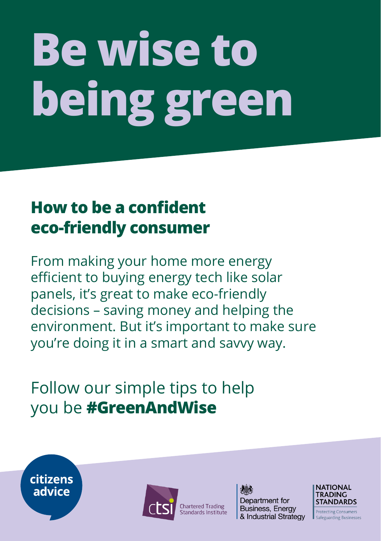## **Be wise to being green**

## **How to be a confident eco-friendly consumer**

From making your home more energy efficient to buying energy tech like solar panels, it's great to make eco-friendly decisions – saving money and helping the environment. But it's important to make sure you're doing it in a smart and savvy way.

## Follow our simple tips to help you be **#GreenAndWise**





**Chartered Trading** Standards Institute Department for Business, Energy & Industrial Strategy



**Protecting Consumers** Safeguarding Businesses